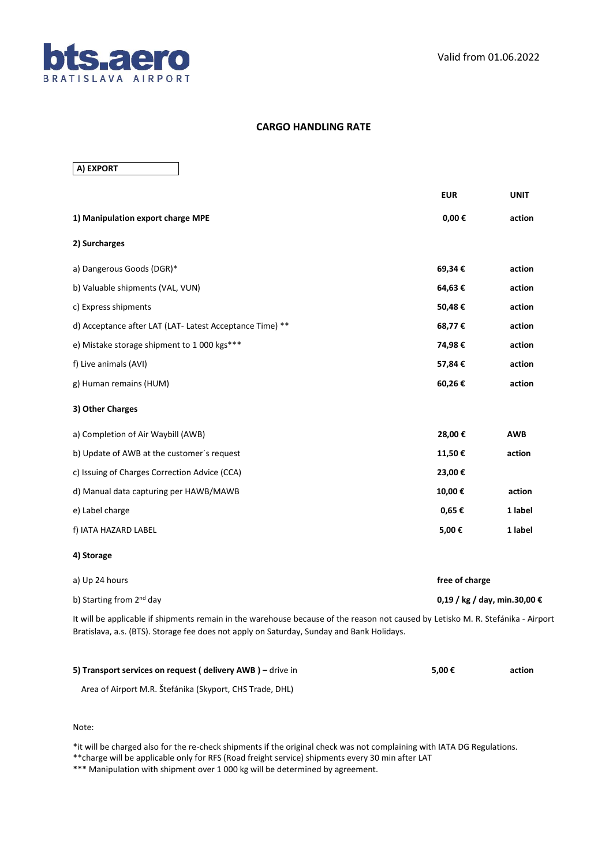

## **CARGO HANDLING RATE**

**A) EXPORT**

|                                                                                                                                                                                                                               | <b>EUR</b>                   | <b>UNIT</b> |  |
|-------------------------------------------------------------------------------------------------------------------------------------------------------------------------------------------------------------------------------|------------------------------|-------------|--|
| 1) Manipulation export charge MPE                                                                                                                                                                                             | $0,00 \in$                   | action      |  |
| 2) Surcharges                                                                                                                                                                                                                 |                              |             |  |
| a) Dangerous Goods (DGR)*                                                                                                                                                                                                     | 69,34€                       | action      |  |
| b) Valuable shipments (VAL, VUN)                                                                                                                                                                                              | 64,63€                       | action      |  |
| c) Express shipments                                                                                                                                                                                                          | 50,48€                       | action      |  |
| d) Acceptance after LAT (LAT- Latest Acceptance Time) **                                                                                                                                                                      | 68,77€                       | action      |  |
| e) Mistake storage shipment to 1 000 kgs***                                                                                                                                                                                   | 74,98€                       | action      |  |
| f) Live animals (AVI)                                                                                                                                                                                                         | 57,84€                       | action      |  |
| g) Human remains (HUM)                                                                                                                                                                                                        | 60,26€                       | action      |  |
| 3) Other Charges                                                                                                                                                                                                              |                              |             |  |
| a) Completion of Air Waybill (AWB)                                                                                                                                                                                            | 28,00€                       | AWB         |  |
| b) Update of AWB at the customer's request                                                                                                                                                                                    | 11,50€                       | action      |  |
| c) Issuing of Charges Correction Advice (CCA)                                                                                                                                                                                 | 23,00€                       |             |  |
| d) Manual data capturing per HAWB/MAWB                                                                                                                                                                                        | 10,00€                       | action      |  |
| e) Label charge                                                                                                                                                                                                               | 0,65€                        | 1 label     |  |
| f) IATA HAZARD LABEL                                                                                                                                                                                                          | 5,00€                        | 1 label     |  |
| 4) Storage                                                                                                                                                                                                                    |                              |             |  |
| a) Up 24 hours                                                                                                                                                                                                                | free of charge               |             |  |
| b) Starting from 2 <sup>nd</sup> day                                                                                                                                                                                          | 0,19 / kg / day, min.30,00 € |             |  |
| It will be applicable if shipments remain in the warehouse because of the reason not caused by Letisko M. R. Stefánika - Airport<br>Bratislava, a.s. (BTS). Storage fee does not apply on Saturday, Sunday and Bank Holidays. |                              |             |  |

| 5) Transport services on request (delivery AWB) - drive in | 5.00€ | action |
|------------------------------------------------------------|-------|--------|
|                                                            |       |        |

Area of Airport M.R. Štefánika (Skyport, CHS Trade, DHL)

Note:

\*it will be charged also for the re-check shipments if the original check was not complaining with IATA DG Regulations.

\*\*charge will be applicable only for RFS (Road freight service) shipments every 30 min after LAT

\*\*\* Manipulation with shipment over 1 000 kg will be determined by agreement.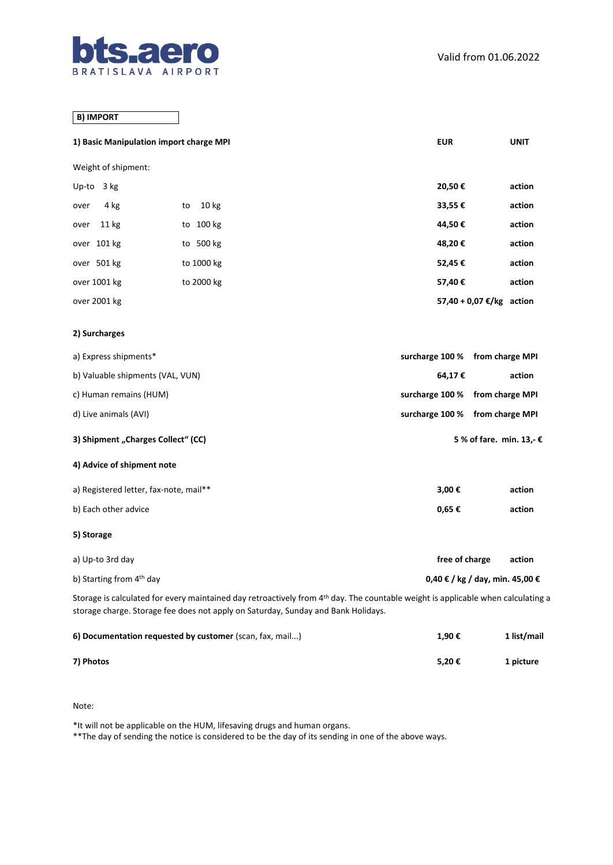

## **B) IMPORT**

| 1) Basic Manipulation import charge MPI                                                                                                                                                                                           |                                                          | <b>EUR</b>      | <b>UNIT</b>                     |
|-----------------------------------------------------------------------------------------------------------------------------------------------------------------------------------------------------------------------------------|----------------------------------------------------------|-----------------|---------------------------------|
| Weight of shipment:                                                                                                                                                                                                               |                                                          |                 |                                 |
| Up-to $3 kg$                                                                                                                                                                                                                      |                                                          | 20,50€          | action                          |
| 4 kg<br>over                                                                                                                                                                                                                      | 10 <sub>kg</sub><br>to                                   | 33,55€          | action                          |
| 11 kg<br>over                                                                                                                                                                                                                     | to 100 kg                                                | 44,50€          | action                          |
| over 101 kg                                                                                                                                                                                                                       | to 500 kg                                                | 48,20€          | action                          |
| over 501 kg                                                                                                                                                                                                                       | to 1000 kg                                               | 52,45€          | action                          |
| over 1001 kg                                                                                                                                                                                                                      | to 2000 kg                                               | 57,40€          | action                          |
| over 2001 kg                                                                                                                                                                                                                      |                                                          |                 | 57,40 + 0,07 €/kg action        |
| 2) Surcharges                                                                                                                                                                                                                     |                                                          |                 |                                 |
| a) Express shipments*                                                                                                                                                                                                             |                                                          | surcharge 100 % | from charge MPI                 |
| b) Valuable shipments (VAL, VUN)                                                                                                                                                                                                  |                                                          | 64,17€          | action                          |
| c) Human remains (HUM)                                                                                                                                                                                                            |                                                          | surcharge 100 % | from charge MPI                 |
| d) Live animals (AVI)                                                                                                                                                                                                             |                                                          | surcharge 100 % | from charge MPI                 |
| 3) Shipment "Charges Collect" (CC)                                                                                                                                                                                                |                                                          |                 | 5 % of fare. min. 13,- €        |
| 4) Advice of shipment note                                                                                                                                                                                                        |                                                          |                 |                                 |
| a) Registered letter, fax-note, mail**                                                                                                                                                                                            |                                                          | 3,00€           | action                          |
| b) Each other advice                                                                                                                                                                                                              |                                                          | 0,65€           | action                          |
| 5) Storage                                                                                                                                                                                                                        |                                                          |                 |                                 |
| a) Up-to 3rd day                                                                                                                                                                                                                  |                                                          | free of charge  | action                          |
| b) Starting from 4 <sup>th</sup> day                                                                                                                                                                                              |                                                          |                 | 0,40 € / kg / day, min. 45,00 € |
| Storage is calculated for every maintained day retroactively from 4 <sup>th</sup> day. The countable weight is applicable when calculating a<br>storage charge. Storage fee does not apply on Saturday, Sunday and Bank Holidays. |                                                          |                 |                                 |
|                                                                                                                                                                                                                                   | 6) Documentation requested by customer (scan, fax, mail) | 1,90€           | 1 list/mail                     |

**7) Photos 5,20 € 1 picture**

Note:

\*It will not be applicable on the HUM, lifesaving drugs and human organs.

\*\*The day of sending the notice is considered to be the day of its sending in one of the above ways.